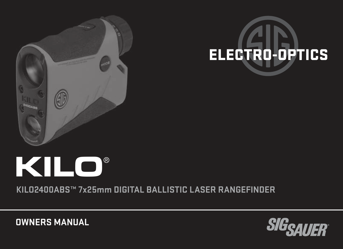





**KILO2400ABS™ 7x25mm DIGITAL BALLISTIC LASER RANGEFINDER**

**OWNERS MANUAL**

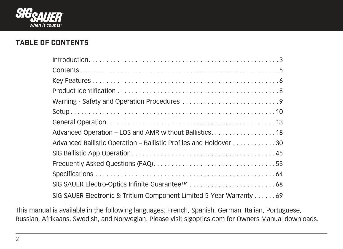

#### **TABLE OF CONTENTS**

| Advanced Ballistic Operation – Ballistic Profiles and Holdover 30   |
|---------------------------------------------------------------------|
|                                                                     |
|                                                                     |
|                                                                     |
|                                                                     |
| SIG SAUER Electronic & Tritium Component Limited 5-Year Warranty 69 |

This manual is available in the following languages: French, Spanish, German, Italian, Portuguese, Russian, Afrikaans, Swedish, and Norwegian. Please visit sigoptics.com for Owners Manual downloads.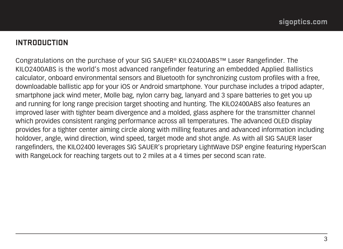#### **INTRODUCTION**

Congratulations on the purchase of your SIG SAUER® KILO2400ABS™ Laser Rangefinder. The KILO2400ABS is the world's most advanced rangefinder featuring an embedded Applied Ballistics calculator, onboard environmental sensors and Bluetooth for synchronizing custom profiles with a free, downloadable ballistic app for your iOS or Android smartphone. Your purchase includes a tripod adapter, smartphone jack wind meter, Molle bag, nylon carry bag, lanyard and 3 spare batteries to get you up and running for long range precision target shooting and hunting. The KILO2400ABS also features an improved laser with tighter beam divergence and a molded, glass asphere for the transmitter channel which provides consistent ranging performance across all temperatures. The advanced OLED display provides for a tighter center aiming circle along with milling features and advanced information including holdover, angle, wind direction, wind speed, target mode and shot angle. As with all SIG SAUER laser rangefinders, the KILO2400 leverages SIG SAUER's proprietary LightWave DSP engine featuring HyperScan with RangeLock for reaching targets out to 2 miles at a 4 times per second scan rate.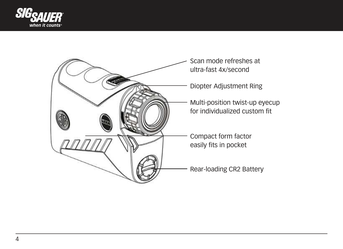

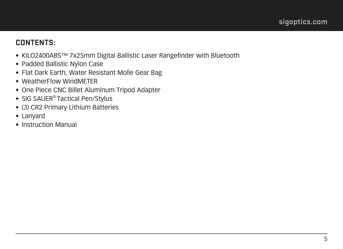## **CONTENTS:**

- KILO2400ABS™ 7x25mm Digital Ballistic Laser Rangefinder with Bluetooth
- Padded Ballistic Nylon Case
- Flat Dark Earth, Water Resistant Molle Gear Bag
- WeatherFlow WindMETER
- One Piece CNC Billet Aluminum Tripod Adapter
- SIG SAUER® Tactical Pen/Stylus
- (3) CR2 Primary Lithium Batteries
- Lanyard
- Instruction Manual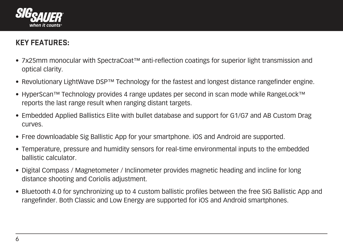

## **KEY FEATURES:**

- 7x25mm monocular with SpectraCoat™ anti-reflection coatings for superior light transmission and optical clarity.
- Revolutionary LightWave DSP™ Technology for the fastest and longest distance rangefinder engine.
- HyperScan™ Technology provides 4 range updates per second in scan mode while RangeLock™ reports the last range result when ranging distant targets.
- Embedded Applied Ballistics Elite with bullet database and support for G1/G7 and AB Custom Drag curves.
- Free downloadable Sig Ballistic App for your smartphone. iOS and Android are supported.
- Temperature, pressure and humidity sensors for real-time environmental inputs to the embedded ballistic calculator.
- Digital Compass / Magnetometer / Inclinometer provides magnetic heading and incline for long distance shooting and Coriolis adjustment.
- Bluetooth 4.0 for synchronizing up to 4 custom ballistic profiles between the free SIG Ballistic App and rangefinder. Both Classic and Low Energy are supported for iOS and Android smartphones.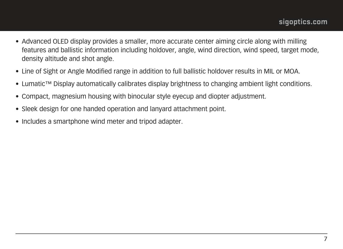- Advanced OLED display provides a smaller, more accurate center aiming circle along with milling features and ballistic information including holdover, angle, wind direction, wind speed, target mode, density altitude and shot angle.
- Line of Sight or Angle Modified range in addition to full ballistic holdover results in MIL or MOA.
- Lumatic™ Display automatically calibrates display brightness to changing ambient light conditions.
- Compact, magnesium housing with binocular style eyecup and diopter adjustment.
- Sleek design for one handed operation and lanyard attachment point.
- Includes a smartphone wind meter and tripod adapter.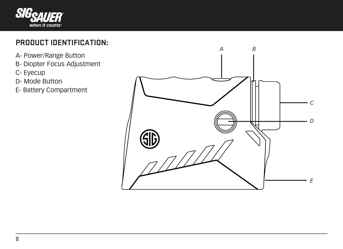

## **PRODUCT IDENTIFICATION:**

- A- Power/Range Button
- B- Diopter Focus Adjustment
- C- Eyecup
- D- Mode Button
- E- Battery Compartment

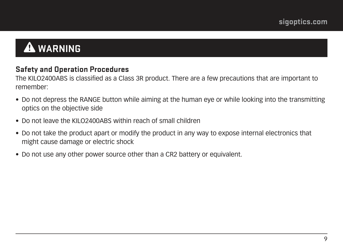# **A** WARNING

#### **Safety and Operation Procedures**

The KILO2400ABS is classified as a Class 3R product. There are a few precautions that are important to remember:

- Do not depress the RANGE button while aiming at the human eve or while looking into the transmitting optics on the objective side
- Do not leave the KILO2400ABS within reach of small children
- Do not take the product apart or modify the product in any way to expose internal electronics that might cause damage or electric shock
- Do not use any other power source other than a CR2 battery or equivalent.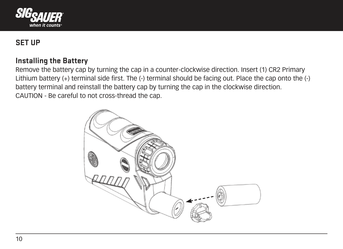

## **SET UP**

#### **Installing the Battery**

Remove the battery cap by turning the cap in a counter-clockwise direction. Insert (1) CR2 Primary Lithium battery (+) terminal side first. The (-) terminal should be facing out. Place the cap onto the (-) battery terminal and reinstall the battery cap by turning the cap in the clockwise direction. CAUTION - Be careful to not cross-thread the cap.

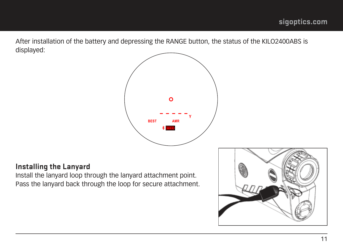After installation of the battery and depressing the RANGE button, the status of the KILO2400ABS is displayed:



#### **Installing the Lanyard**

Install the lanyard loop through the lanyard attachment point. Pass the lanyard back through the loop for secure attachment.

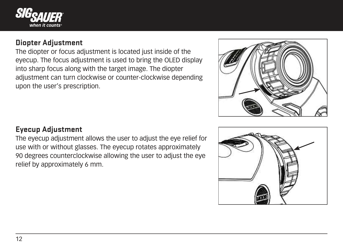

#### **Diopter Adjustment**

The diopter or focus adjustment is located just inside of the eyecup. The focus adjustment is used to bring the OLED display into sharp focus along with the target image. The diopter adjustment can turn clockwise or counter-clockwise depending upon the user's prescription.



## **Eyecup Adjustment**

The eyecup adjustment allows the user to adjust the eye relief for use with or without glasses. The eyecup rotates approximately 90 degrees counterclockwise allowing the user to adjust the eye relief by approximately 6 mm.

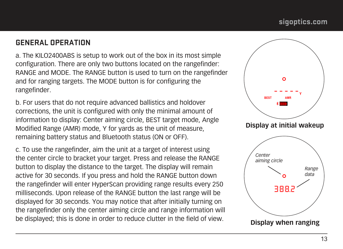## **GENERAL OPERATION**

a. The KILO2400ABS is setup to work out of the box in its most simple configuration. There are only two buttons located on the rangefinder: RANGE and MODE. The RANGE button is used to turn on the rangefinder and for ranging targets. The MODE button is for configuring the rangefinder.

b. For users that do not require advanced ballistics and holdover corrections, the unit is configured with only the minimal amount of information to display: Center aiming circle, BEST target mode, Angle Modified Range (AMR) mode, Y for yards as the unit of measure, remaining battery status and Bluetooth status (ON or OFF).

c. To use the rangefinder, aim the unit at a target of interest using the center circle to bracket your target. Press and release the RANGE button to display the distance to the target. The display will remain active for 30 seconds. If you press and hold the RANGE button down the rangefinder will enter HyperScan providing range results every 250 milliseconds. Upon release of the RANGE button the last range will be displayed for 30 seconds. You may notice that after initially turning on the rangefinder only the center aiming circle and range information will be displayed; this is done in order to reduce clutter in the field of view.

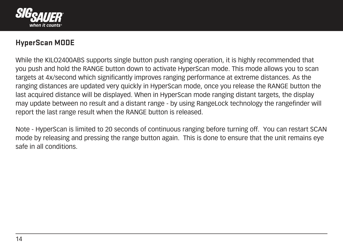

#### **HyperScan MODE**

While the KILO2400ABS supports single button push ranging operation, it is highly recommended that you push and hold the RANGE button down to activate HyperScan mode. This mode allows you to scan targets at 4x/second which significantly improves ranging performance at extreme distances. As the ranging distances are updated very quickly in HyperScan mode, once you release the RANGE button the last acquired distance will be displayed. When in HyperScan mode ranging distant targets, the display may update between no result and a distant range - by using RangeLock technology the rangefinder will report the last range result when the RANGE button is released.

Note - HyperScan is limited to 20 seconds of continuous ranging before turning off. You can restart SCAN mode by releasing and pressing the range button again. This is done to ensure that the unit remains eye safe in all conditions.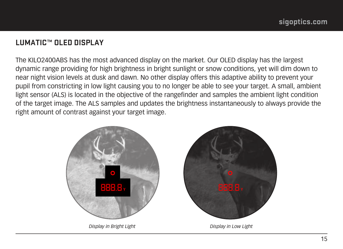## **LUMATIC™ OLED DISPLAY**

The KILO2400ABS has the most advanced display on the market. Our OLED display has the largest dynamic range providing for high brightness in bright sunlight or snow conditions, yet will dim down to near night vision levels at dusk and dawn. No other display offers this adaptive ability to prevent your pupil from constricting in low light causing you to no longer be able to see your target. A small, ambient light sensor (ALS) is located in the objective of the rangefinder and samples the ambient light condition of the target image. The ALS samples and updates the brightness instantaneously to always provide the right amount of contrast against your target image.

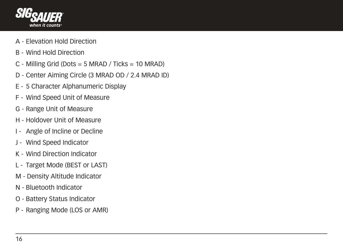

- A Elevation Hold Direction
- B Wind Hold Direction
- C Milling Grid (Dots = 5 MRAD / Ticks = 10 MRAD)
- D Center Aiming Circle (3 MRAD OD / 2.4 MRAD ID)
- E 5 Character Alphanumeric Display
- F Wind Speed Unit of Measure
- G Range Unit of Measure
- H Holdover Unit of Measure
- I Angle of Incline or Decline
- J Wind Speed Indicator
- K Wind Direction Indicator
- L Target Mode (BEST or LAST)
- M Density Altitude Indicator
- N Bluetooth Indicator
- O Battery Status Indicator
- P Ranging Mode (LOS or AMR)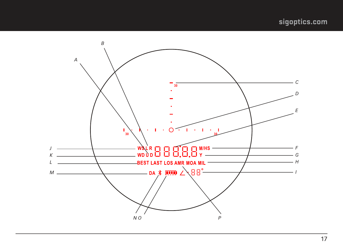**sigoptics.com**

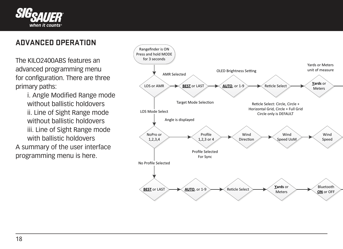

## **ADVANCED OPERATION**

The KILO2400ABS features an advanced programming menu for configuration. There are three primary paths:

i. Angle Modified Range mode without ballistic holdovers ii. Line of Sight Range mode without ballistic holdovers iii. Line of Sight Range mode with ballistic holdovers A summary of the user interface programming menu is here.

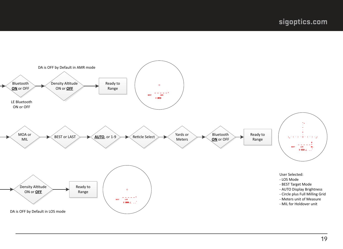**sigoptics.com**

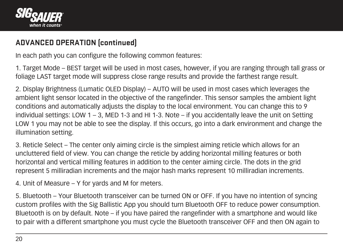

## **ADVANCED OPERATION (continued)**

In each path you can configure the following common features:

1. Target Mode – BEST target will be used in most cases, however, if you are ranging through tall grass or foliage LAST target mode will suppress close range results and provide the farthest range result.

2. Display Brightness (Lumatic OLED Display) – AUTO will be used in most cases which leverages the ambient light sensor located in the objective of the rangefinder. This sensor samples the ambient light conditions and automatically adjusts the display to the local environment. You can change this to 9 individual settings: LOW 1 – 3, MED 1-3 and HI 1-3. Note – if you accidentally leave the unit on Setting LOW 1 you may not be able to see the display. If this occurs, go into a dark environment and change the illumination setting.

3. Reticle Select – The center only aiming circle is the simplest aiming reticle which allows for an uncluttered field of view. You can change the reticle by adding horizontal milling features or both horizontal and vertical milling features in addition to the center aiming circle. The dots in the grid represent 5 milliradian increments and the major hash marks represent 10 milliradian increments.

4. Unit of Measure – Y for yards and M for meters.

5. Bluetooth – Your Bluetooth transceiver can be turned ON or OFF. If you have no intention of syncing custom profiles with the Sig Ballistic App you should turn Bluetooth OFF to reduce power consumption. Bluetooth is on by default. Note – if you have paired the rangefinder with a smartphone and would like to pair with a different smartphone you must cycle the Bluetooth transceiver OFF and then ON again to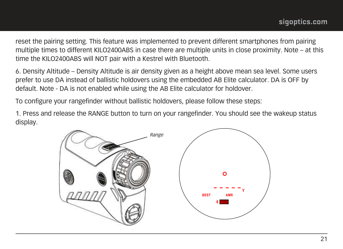reset the pairing setting. This feature was implemented to prevent different smartphones from pairing multiple times to different KILO2400ABS in case there are multiple units in close proximity. Note – at this time the KILO2400ABS will NOT pair with a Kestrel with Bluetooth.

6. Density Altitude – Density Altitude is air density given as a height above mean sea level. Some users prefer to use DA instead of ballistic holdovers using the embedded AB Elite calculator. DA is OFF by default. Note - DA is not enabled while using the AB Elite calculator for holdover.

To configure your rangefinder without ballistic holdovers, please follow these steps:

1. Press and release the RANGE button to turn on your rangefinder. You should see the wakeup status display.

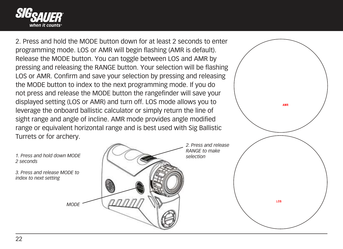

2. Press and hold the MODE button down for at least 2 seconds to enter programming mode. LOS or AMR will begin flashing (AMR is default). Release the MODE button. You can toggle between LOS and AMR by pressing and releasing the RANGE button. Your selection will be flashing LOS or AMR. Confirm and save your selection by pressing and releasing the MODE button to index to the next programming mode. If you do not press and release the MODE button the rangefinder will save your displayed setting (LOS or AMR) and turn off. LOS mode allows you to leverage the onboard ballistic calculator or simply return the line of sight range and angle of incline. AMR mode provides angle modified range or equivalent horizontal range and is best used with Sig Ballistic Turrets or for archery.

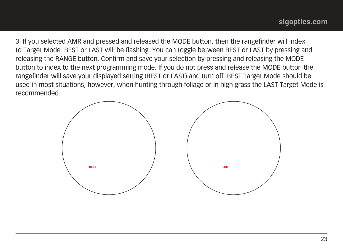3. If you selected AMR and pressed and released the MODE button, then the rangefinder will index to Target Mode. BEST or LAST will be flashing. You can toggle between BEST or LAST by pressing and releasing the RANGE button. Confirm and save your selection by pressing and releasing the MODE button to index to the next programming mode. If you do not press and release the MODE button the rangefinder will save your displayed setting (BEST or LAST) and turn off. BEST Target Mode should be used in most situations, however, when hunting through foliage or in high grass the LAST Target Mode is recommended.

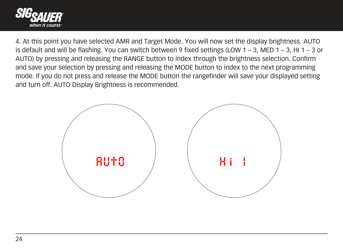

4. At this point you have selected AMR and Target Mode. You will now set the display brightness. AUTO is default and will be flashing. You can switch between 9 fixed settings (LOW  $1 - 3$ , MED  $1 - 3$ , HI  $1 - 3$  or AUTO) by pressing and releasing the RANGE button to index through the brightness selection. Confirm and save your selection by pressing and releasing the MODE button to index to the next programming mode. If you do not press and release the MODE button the rangefinder will save your displayed setting and turn off. AUTO Display Brightness is recommended.

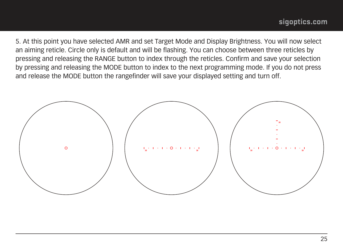5. At this point you have selected AMR and set Target Mode and Display Brightness. You will now select an aiming reticle. Circle only is default and will be flashing. You can choose between three reticles by pressing and releasing the RANGE button to index through the reticles. Confirm and save your selection by pressing and releasing the MODE button to index to the next programming mode. If you do not press and release the MODE button the rangefinder will save your displayed setting and turn off.

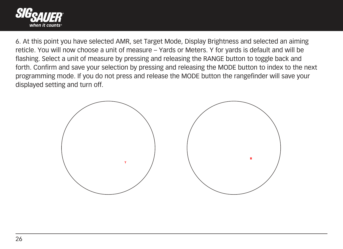

6. At this point you have selected AMR, set Target Mode, Display Brightness and selected an aiming reticle. You will now choose a unit of measure – Yards or Meters. Y for yards is default and will be flashing. Select a unit of measure by pressing and releasing the RANGE button to toggle back and forth. Confirm and save your selection by pressing and releasing the MODE button to index to the next programming mode. If you do not press and release the MODE button the rangefinder will save your displayed setting and turn off.

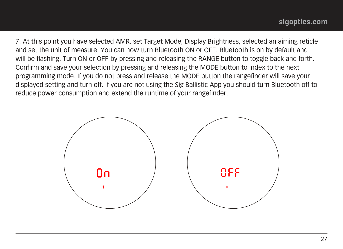7. At this point you have selected AMR, set Target Mode, Display Brightness, selected an aiming reticle and set the unit of measure. You can now turn Bluetooth ON or OFF. Bluetooth is on by default and will be flashing. Turn ON or OFF by pressing and releasing the RANGE button to toggle back and forth. Confirm and save your selection by pressing and releasing the MODE button to index to the next programming mode. If you do not press and release the MODE button the rangefinder will save your displayed setting and turn off. If you are not using the Sig Ballistic App you should turn Bluetooth off to reduce power consumption and extend the runtime of your rangefinder.

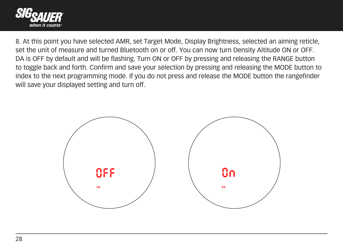

8. At this point you have selected AMR, set Target Mode, Display Brightness, selected an aiming reticle, set the unit of measure and turned Bluetooth on or off. You can now turn Density Altitude ON or OFF. DA is OFF by default and will be flashing. Turn ON or OFF by pressing and releasing the RANGE button to toggle back and forth. Confirm and save your selection by pressing and releasing the MODE button to index to the next programming mode. If you do not press and release the MODE button the rangefinder will save your displayed setting and turn off.

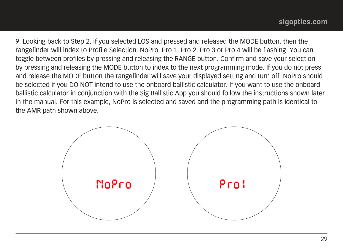9. Looking back to Step 2, if you selected LOS and pressed and released the MODE button, then the rangefinder will index to Profile Selection. NoPro, Pro 1, Pro 2, Pro 3 or Pro 4 will be flashing. You can toggle between profiles by pressing and releasing the RANGE button. Confirm and save your selection by pressing and releasing the MODE button to index to the next programming mode. If you do not press and release the MODE button the rangefinder will save your displayed setting and turn off. NoPro should be selected if you DO NOT intend to use the onboard ballistic calculator. If you want to use the onboard ballistic calculator in conjunction with the Sig Ballistic App you should follow the instructions shown later in the manual. For this example, NoPro is selected and saved and the programming path is identical to the AMR path shown above.

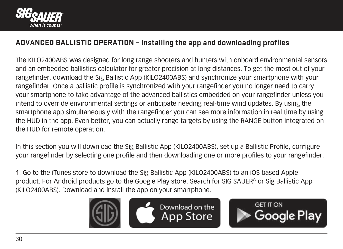

### **ADVANCED BALLISTIC OPERATION – Installing the app and downloading profiles**

The KILO2400ABS was designed for long range shooters and hunters with onboard environmental sensors and an embedded ballistics calculator for greater precision at long distances. To get the most out of your rangefinder, download the Sig Ballistic App (KILO2400ABS) and synchronize your smartphone with your rangefinder. Once a ballistic profile is synchronized with your rangefinder you no longer need to carry your smartphone to take advantage of the advanced ballistics embedded on your rangefinder unless you intend to override environmental settings or anticipate needing real-time wind updates. By using the smartphone app simultaneously with the rangefinder you can see more information in real time by using the HUD in the app. Even better, you can actually range targets by using the RANGE button integrated on the HUD for remote operation.

In this section you will download the Sig Ballistic App (KILO2400ABS), set up a Ballistic Profile, configure your rangefinder by selecting one profile and then downloading one or more profiles to your rangefinder.

1. Go to the iTunes store to download the Sig Ballistic App (KILO2400ABS) to an iOS based Apple product. For Android products go to the Google Play store. Search for SIG SAUER® or Sig Ballistic App (KILO2400ABS). Download and install the app on your smartphone.



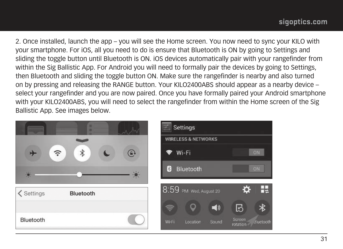2. Once installed, launch the app – you will see the Home screen. You now need to sync your KILO with your smartphone. For iOS, all you need to do is ensure that Bluetooth is ON by going to Settings and sliding the toggle button until Bluetooth is ON. iOS devices automatically pair with your rangefinder from within the Sig Ballistic App. For Android you will need to formally pair the devices by going to Settings, then Bluetooth and sliding the toggle button ON. Make sure the rangefinder is nearby and also turned on by pressing and releasing the RANGE button. Your KILO2400ABS should appear as a nearby device – select your rangefinder and you are now paired. Once you have formally paired your Android smartphone with your KILO2400ABS, you will need to select the rangefinder from within the Home screen of the Sig Ballistic App. See images below.

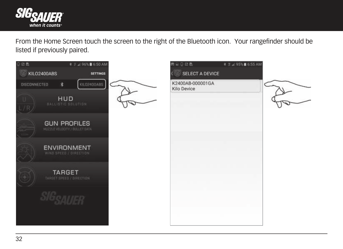

From the Home Screen touch the screen to the right of the Bluetooth icon. Your rangefinder should be listed if previously paired.

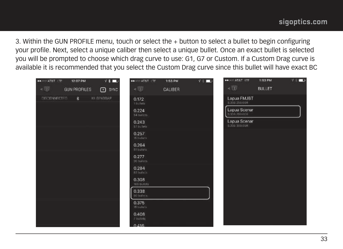3. Within the GUN PROFILE menu, touch or select the + button to select a bullet to begin configuring your profile. Next, select a unique caliber then select a unique bullet. Once an exact bullet is selected you will be prompted to choose which drag curve to use: G1, G7 or Custom. If a Custom Drag curve is available it is recommended that you select the Custom Drag curve since this bullet will have exact BC

| <b>CALCO ATAT ITE</b> | 12:07 PM            | $73 - 1$    | <b>CATALOG ATAT ITE</b>   | 1:53 PM | $7 - 1$ | <b>** CO ATAT ITE</b>         | 1:53 PM       | 学习<br><b>TD</b> |
|-----------------------|---------------------|-------------|---------------------------|---------|---------|-------------------------------|---------------|-----------------|
| $\leq 48$             | <b>GUN PROFILES</b> | $\Box$ SYNC | $< 43\%$                  | CALIBER |         | $\leq 10$                     | <b>BULLET</b> |                 |
| DISCONNECTED          | 米                   | KILD24DDAP  | 0.172<br>1 Dullets        |         |         | Lapua FMJBT<br>0.338 250 038  |               |                 |
|                       |                     |             | 0.224<br>54 bullets       |         |         | Lapua Scenar<br>0.3882800000  |               |                 |
|                       |                     |             | 0.243<br>67 bollets       |         |         | Lapua Scenar<br>0.338 300.0GR |               |                 |
|                       |                     |             | 0.257<br>15 Bullets       |         |         |                               |               |                 |
|                       |                     |             | 0.264<br><b>St butets</b> |         |         |                               |               |                 |
|                       |                     |             | 0.277<br>36 bullets       |         |         |                               |               |                 |
|                       |                     |             | 0.284<br>62 bulsits       |         |         |                               |               |                 |
|                       |                     |             | 0.308<br>166 bullets      |         |         |                               |               |                 |
|                       |                     |             | 0.338<br>60 bul ets       |         |         |                               |               |                 |
|                       |                     |             | 0.375<br>15 bullets       |         |         |                               |               |                 |
|                       |                     |             | 0.408<br>7 bullets        |         |         |                               |               |                 |
|                       |                     |             | 0.416                     |         |         |                               |               |                 |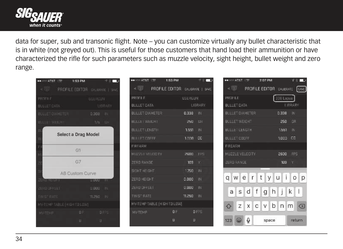

data for super, sub and transonic flight. Note – you can customize virtually any bullet characteristic that is in white (not greyed out). This is useful for those customers that hand load their ammunition or have characterized the rifle for such parameters such as muzzle velocity, sight height, bullet weight and zero range.

| <b>CALCO ATST TF</b>        | 1:53 PM                         | $-2.32 - 14$   | <b>***** AT&amp;T TF</b>    | 1:53 PM                         | 模型        | <b>***** AT&amp;T ITF</b><br>2:07 PM | $\mathcal{F}$            |
|-----------------------------|---------------------------------|----------------|-----------------------------|---------------------------------|-----------|--------------------------------------|--------------------------|
| $<$ 191                     | PROFILE EDITOR CALIDRATE   SAVE |                | $\leq 138$                  | PROFILE EDITOR CALIDRATE   SAVE |           | $\leq$                               | PROFILE EDITOR CALIBRATE |
| <b>PROFILE</b>              | <b>USERGUN</b>                  |                | <b>PROFILE</b>              | <b>USERGUN</b>                  |           | PROFILE                              | 336 Lapua                |
| <b>BELLET CATA</b>          |                                 | <b>LIBRARY</b> | <b>BULLET DATA</b>          |                                 | LIBRARY   | <b>BULLET DATA</b>                   | LIBRARY                  |
| <b>BLLLET CLANETER</b>      | <b>D.308 UL</b>                 |                | <b>BULLET CIAMETER</b>      | 0.338                           | <b>IN</b> | BULLET DIAMETER                      | 0.338<br><b>IN</b>       |
| <b>BELLET WEIGHT</b>        |                                 | 1/s (SH)       | <b>BULLET WEIGHT</b>        | 250                             | 1192      | <b>BULLET WEIGHT</b>                 | <b>GR</b><br>250         |
|                             |                                 |                | <b>BULLET LENGTH</b>        | 1.551                           | IN        | <b>BULLE LENGTH</b>                  | 7.551<br>$-11$           |
| Select a Drag Model         |                                 |                | <b>BULLET CREEF</b>         | 1.000                           | cc        | <b>BULLET COEFF</b>                  | <b>CD</b><br>1.000       |
|                             | G1                              |                | FIREARM                     |                                 |           | FIREARM                              |                          |
|                             |                                 |                | MIZZLE VELOD TY             | 2600                            | TPS       | MUZZLE VELODITY                      | 2600<br>$=$ PS           |
|                             | G7                              |                | ZERI RANGE                  | 109                             | ×         | ZERD RANGE                           | 109<br>$\mathbf{v}$      |
|                             | <b>AB Custom Curve</b>          |                | SIGHT HE GHT                | 1.750                           | <b>IN</b> |                                      |                          |
| <b>ZERS MENSION</b>         | PREISE                          | TN             | ZERD HEIGHT                 | 0.000                           | <b>TN</b> | t<br>$q_{\parallel}$<br>W<br>e<br>г  | 10<br>V.<br>u            |
| ZEHU-JFFSET                 | $-1000 -$                       | - this         | ZERU UFFSET                 | 0.000                           | IN.       | f<br>d                               | $\mathbf k$              |
| TWIST RATE                  | 71,250                          |                | <b>TWIST RATE</b>           | 11,250                          | <b>IN</b> | a<br>S<br>g                          | h                        |
| MV-TEMP TABLE (HIGH TO LOW) |                                 |                | MV-TEMP TABLE (HIGH TO LOW) |                                 |           | Z<br>X<br>C<br>V                     | m<br>b<br>n              |
| <b>NV-TENEL</b>             | D:F                             | BFS:           | <b>MV-TEMP</b>              | 0 F                             | D.FRS     |                                      |                          |
|                             | D.<br>$\Box$                    |                |                             | U.<br>IJ                        |           | Ŷ<br>⊜<br>123                        | retu<br>space            |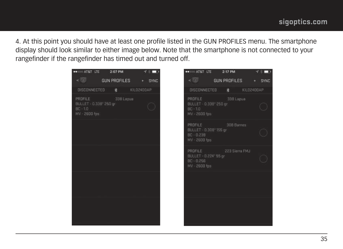4. At this point you should have at least one profile listed in the GUN PROFILES menu. The smartphone display should look similar to either image below. Note that the smartphone is not connected to your rangefinder if the rangefinder has timed out and turned off.

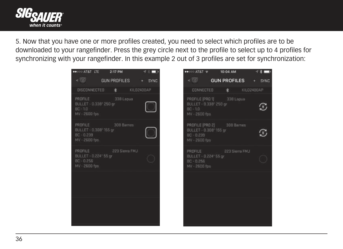

5. Now that you have one or more profiles created, you need to select which profiles are to be downloaded to your rangefinder. Press the grey circle next to the profile to select up to 4 profiles for synchronizing with your rangefinder. In this example 2 out of 3 profiles are set for synchronization:

| ●●○DD AT&T LTE 2:17 PM                                                                  |  | 7300                      | ●●○○○ AT&T 〒 10:04 AM                                                                   |  | $78 -$  |
|-----------------------------------------------------------------------------------------|--|---------------------------|-----------------------------------------------------------------------------------------|--|---------|
|                                                                                         |  | < (i) GUN PROFILES + SYNC | < GUN PROFILES                                                                          |  | $+$ SYN |
|                                                                                         |  | DISCONNECTED * KILD2400AP | CONNECTED * KILO2400AP                                                                  |  |         |
| PROFILE 338 Lapua<br>BULLET - 0.338 <sup>+</sup> 250 gr<br>$80 - 10$<br>$MV - 2600$ fps |  |                           | PROFILE (PRO 1) 336 Lapua<br>BULLET - 0.338" 250 pr<br>80 10<br>$MV - 2600$ fps         |  |         |
| PROFILE 308 Barnes<br>BULLET - 0.308° 155 gr<br>$BC - 0.239$<br>$MV - 2600$ fps.        |  |                           | PROFILE (PRO 2) 308 Barnes<br>BULLET - 0.308" 155 pr<br>$BC - 0.239$<br>$MV - 2600$ fos |  |         |
| PROFILE 223 Sierra FML<br>BULLET - 0.224" 55 gr<br>$BC - 0.256$<br>MV-2800 fps          |  |                           | PROFILE 223 Sierra FMJ<br>BULLET - 0.224" 55 gr<br>80-0.256<br>$MV - 2600$ fas-         |  |         |
|                                                                                         |  |                           |                                                                                         |  |         |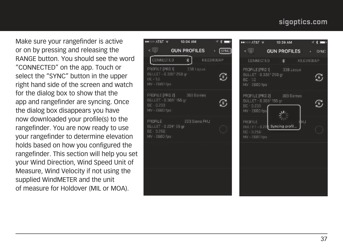# **sigoptics.com**

 $\cdot$   $\cdot$   $\cdot$ 

**E SYNE** 

B

G,

Make sure your rangefinder is active or on by pressing and releasing the RANGE button. You should see the word "CONNECTED" on the app. Touch or select the "SYNC" button in the upper right hand side of the screen and watch for the dialog box to show that the app and rangefinder are syncing. Once the dialog box disappears you have now downloaded your profile(s) to the rangefinder. You are now ready to use your rangefinder to determine elevation holds based on how you configured the rangefinder. This section will help you set your Wind Direction, Wind Speed Unit of Measure, Wind Velocity if not using the supplied WindMETER and the unit of measure for Holdover (MIL or MOA).

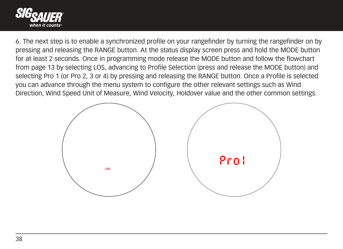

6. The next step is to enable a synchronized profile on your rangefinder by turning the rangefinder on by pressing and releasing the RANGE button. At the status display screen press and hold the MODE button for at least 2 seconds. Once in programming mode release the MODE button and follow the flowchart from page 13 by selecting LOS, advancing to Profile Selection (press and release the MODE button) and selecting Pro 1 (or Pro 2, 3 or 4) by pressing and releasing the RANGE button. Once a Profile is selected you can advance through the menu system to configure the other relevant settings such as Wind Direction, Wind Speed Unit of Measure, Wind Velocity, Holdover value and the other common settings.

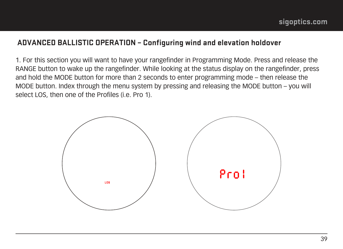### **ADVANCED BALLISTIC OPERATION – Configuring wind and elevation holdover**

1. For this section you will want to have your rangefinder in Programming Mode. Press and release the RANGE button to wake up the rangefinder. While looking at the status display on the rangefinder, press and hold the MODE button for more than 2 seconds to enter programming mode – then release the MODE button. Index through the menu system by pressing and releasing the MODE button – you will select LOS, then one of the Profiles (i.e. Pro 1).

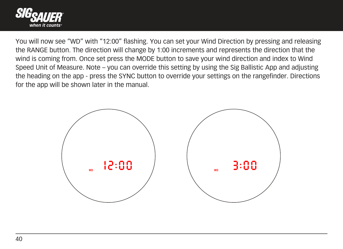

You will now see "WD" with "12:00" flashing. You can set your Wind Direction by pressing and releasing the RANGE button. The direction will change by 1:00 increments and represents the direction that the wind is coming from. Once set press the MODE button to save your wind direction and index to Wind Speed Unit of Measure. Note – you can override this setting by using the Sig Ballistic App and adjusting the heading on the app - press the SYNC button to override your settings on the rangefinder. Directions for the app will be shown later in the manual.

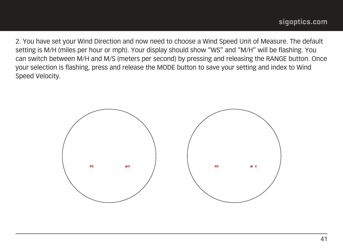2. You have set your Wind Direction and now need to choose a Wind Speed Unit of Measure. The default setting is M/H (miles per hour or mph). Your display should show "WS" and "M/H" will be flashing. You can switch between M/H and M/S (meters per second) by pressing and releasing the RANGE button. Once your selection is flashing, press and release the MODE button to save your setting and index to Wind Speed Velocity.

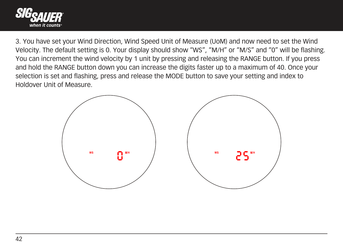

3. You have set your Wind Direction, Wind Speed Unit of Measure (UoM) and now need to set the Wind Velocity. The default setting is 0. Your display should show "WS", "M/H" or "M/S" and "0" will be flashing. You can increment the wind velocity by 1 unit by pressing and releasing the RANGE button. If you press and hold the RANGE button down you can increase the digits faster up to a maximum of 40. Once your selection is set and flashing, press and release the MODE button to save your setting and index to Holdover Unit of Measure.

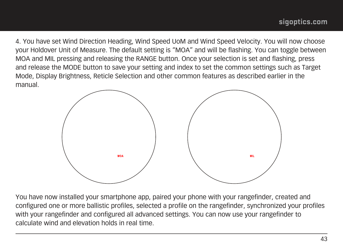4. You have set Wind Direction Heading, Wind Speed UoM and Wind Speed Velocity. You will now choose your Holdover Unit of Measure. The default setting is "MOA" and will be flashing. You can toggle between MOA and MIL pressing and releasing the RANGE button. Once your selection is set and flashing, press and release the MODE button to save your setting and index to set the common settings such as Target Mode, Display Brightness, Reticle Selection and other common features as described earlier in the manual.



You have now installed your smartphone app, paired your phone with your rangefinder, created and configured one or more ballistic profiles, selected a profile on the rangefinder, synchronized your profiles with your rangefinder and configured all advanced settings. You can now use your rangefinder to calculate wind and elevation holds in real time.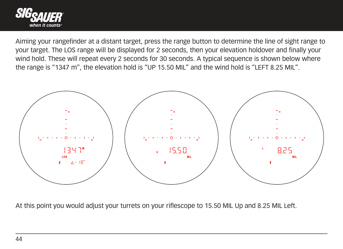

Aiming your rangefinder at a distant target, press the range button to determine the line of sight range to your target. The LOS range will be displayed for 2 seconds, then your elevation holdover and finally your wind hold. These will repeat every 2 seconds for 30 seconds. A typical sequence is shown below where the range is "1347 m", the elevation hold is "UP 15.50 MIL" and the wind hold is "LEFT 8.25 MIL".



At this point you would adjust your turrets on your riflescope to 15.50 MIL Up and 8.25 MIL Left.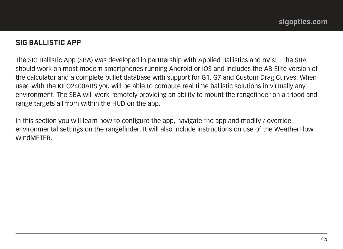### **SIG BALLISTIC APP**

The SIG Ballistic App (SBA) was developed in partnership with Applied Ballistics and nVisti. The SBA should work on most modern smartphones running Android or iOS and includes the AB Elite version of the calculator and a complete bullet database with support for G1, G7 and Custom Drag Curves. When used with the KILO2400ABS you will be able to compute real time ballistic solutions in virtually any environment. The SBA will work remotely providing an ability to mount the rangefinder on a tripod and range targets all from within the HUD on the app.

In this section you will learn how to configure the app, navigate the app and modify / override environmental settings on the rangefinder. It will also include instructions on use of the WeatherFlow **WindMFTFR**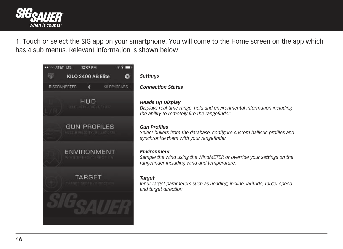

1. Touch or select the SIG app on your smartphone. You will come to the Home screen on the app which has 4 sub menus. Relevant information is shown below:

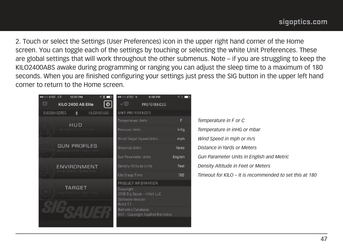2. Touch or select the Settings (User Preferences) icon in the upper right hand corner of the Home screen. You can toggle each of the settings by touching or selecting the white Unit Preferences. These are global settings that will work throughout the other submenus. Note – if you are struggling to keep the KILO2400ABS awake during programming or ranging you can adjust the sleep time to a maximum of 180 seconds. When you are finished configuring your settings just press the SIG button in the upper left hand corner to return to the Home screen.



| Temperature in F or C                                   |
|---------------------------------------------------------|
| Temperature in inHG or mbar                             |
| Wind Speed in mph or m/s                                |
| Distance in Yards or Meters                             |
| Gun Parameter Units in English and Metric               |
| Density Altitude in Feet or Meters                      |
| Timeout for KILO – It is recommended to set this at 180 |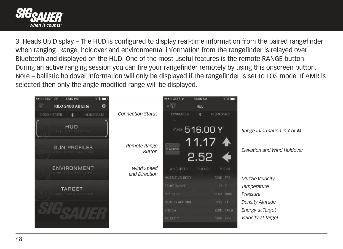

3. Heads Up Display – The HUD is configured to display real-time information from the paired rangefinder when ranging. Range, holdover and environmental information from the rangefinder is relayed over Bluetooth and displayed on the HUD. One of the most useful features is the remote RANGE button. During an active ranging session you can fire your rangefinder remotely by using this onscreen button. Note – ballistic holdover information will only be displayed if the rangefinder is set to LOS mode. If AMR is selected then only the angle modified range will be displayed.

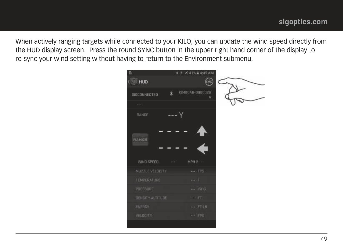When actively ranging targets while connected to your KILO, you can update the wind speed directly from the HUD display screen. Press the round SYNC button in the upper right hand corner of the display to re-sync your wind setting without having to return to the Environment submenu.

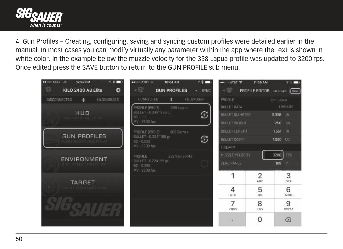

4. Gun Profiles – Creating, configuring, saving and syncing custom profiles were detailed earlier in the manual. In most cases you can modify virtually any parameter within the app where the text is shown in white color. In the example below the muzzle velocity for the 338 Lapua profile was updated to 3200 fps. Once edited press the SAVE button to return to the GUN PROFILE sub menu.

| <b>SEE 1</b><br><b>***** AT&amp;T LTE</b><br>12:07 PM | $-121 - 1$<br>●●DOG AT&T →<br>10:04 AM                                                                                             | ●●000 AT&T →<br>11:06 AM |                                        |
|-------------------------------------------------------|------------------------------------------------------------------------------------------------------------------------------------|--------------------------|----------------------------------------|
| 帀<br>KILO 2400 AB Elite<br>۰                          | $\leq$ . Figure<br><b>GUN PROFILES</b><br>+ SYNC                                                                                   | < 50                     | <b>PROFILE EDITOR EALIBRATE   BAVE</b> |
| <b>BISCONNECTED</b><br>KILD240DABS<br>x               | CONNECTED<br>KILD2400AP<br>案                                                                                                       | PROFILE                  | 338 Lapua                              |
|                                                       | PROFILE (PRO 1)<br>338 Lapua<br>BULLET - 0.338" 250 ar                                                                             | <b>BULLET DATA</b>       | LIBRARY                                |
| HUD<br><b>BALLIET SOLUTION</b>                        | $\mathbb{C}% _{n}^{2}\times\mathbb{C}_{n}^{2}$<br>$BC - 1.0$                                                                       | <b>BULLET BIAMETER</b>   | 0.338<br><b>CIN</b>                    |
|                                                       | MV 2600 fas                                                                                                                        | <b>BULLET WEIGHT</b>     | 250<br>ER                              |
|                                                       | PROFILE (PRO 2)<br>308 Barnes                                                                                                      | BULLET LENGTH            | 1.551 IN                               |
| <b>GUN PROFILES</b>                                   | BULLET - 0.308" 155 pr<br>$\mathbb{C}% _{t}\left  \mathcal{F}_{t}\right  =\mathbb{C}^{2}\left  \mathcal{F}_{t}\right $<br>BC-0.239 | <b>BULLET COEFF</b>      | 1,000 CC                               |
|                                                       | MV 2600 fas                                                                                                                        | FIREARM                  |                                        |
| <b>ENVIRONMENT</b>                                    | PROFILE<br>223 Sierra FMJ                                                                                                          | MUZZLE VELDCITY          | 3200 FPS                               |
| <b>WIND SPEED FROM CTION</b>                          | BULLET - 0.224" 55 pr<br>BC-0255                                                                                                   | <b>ZERO RANGE</b>        | 109<br>w                               |
| TARGET                                                | MV 2600 fas                                                                                                                        | 1<br>2<br>ABC            | 3<br>DEE                               |
| <b>HELL FOR THE ENDING:</b>                           |                                                                                                                                    | 5<br>Δ<br>GHI<br>JKL.    | 6<br>MNO <sup></sup>                   |
|                                                       |                                                                                                                                    | 7<br>8<br>PORS<br>TUV    | 9<br>WXYZ                              |
|                                                       |                                                                                                                                    | Ω                        | ∞                                      |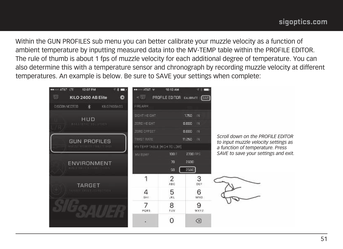Within the GUN PROFILES sub menu you can better calibrate your muzzle velocity as a function of ambient temperature by inputting measured data into the MV-TEMP table within the PROFILE EDITOR. The rule of thumb is about 1 fps of muzzle velocity for each additional degree of temperature. You can also determine this with a temperature sensor and chronograph by recording muzzle velocity at different temperatures. An example is below. Be sure to SAVE your settings when complete:

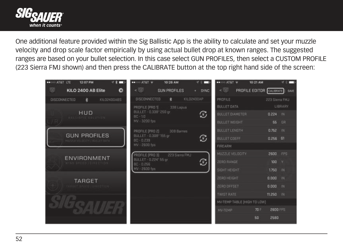

One additional feature provided within the Sig Ballistic App is the ability to calculate and set your muzzle velocity and drop scale factor empirically by using actual bullet drop at known ranges. The suggested ranges are based on your bullet selection. In this case select GUN PROFILES, then select a CUSTOM PROFILE (223 Sierra FMJ shown) and then press the CALIBRATE button at the top right hand side of the screen:

| <b>BRITA DOCHE</b><br>12:07 PM<br>$\sqrt{3}$ = $\sqrt{3}$ | ● T&TA 0000<br>10:26 AM<br>$\tau \geq -1$                                                                                                    | $-$ T&TA $\circ$<br>10:21 AM                 | <b>TS 113</b>  |
|-----------------------------------------------------------|----------------------------------------------------------------------------------------------------------------------------------------------|----------------------------------------------|----------------|
| 我<br>٠<br>KILO 2400 AB Elite                              | $\leq 60$<br><b>GUN PROFILES</b><br>+ SYNC                                                                                                   | $\leq 60$<br><b>PROFILE EDITOR CALIBRATE</b> | SAVE           |
| KILD24DDABS<br><b>DISCONNECTED</b><br>爱                   | DISCONNECTED<br>KILD24DDAP<br>案                                                                                                              | <b>PROFILE</b>                               | 223 Sierra FMJ |
|                                                           | PROFILE (PRO 1)<br>338 Lapua                                                                                                                 | BULLET DATA                                  | LIBRARY        |
| HUD<br>BALUMAR RELUTION                                   | BULLET 0.338"250 gr<br>$\mathfrak{D}% _{T}=\mathfrak{D}_{T}\!\left( a,b\right) ,\ \mathfrak{D}_{T}=C_{T}\!\left( a,b\right) ,$<br>$85 - 1.0$ | <b>BULLET DIAMETER</b>                       | $0.224$ M      |
|                                                           | MV 3200 fps                                                                                                                                  | <b>BULLET WEIGHT</b>                         | 66 GR          |
|                                                           | PROFILE (PRO 2)<br>308 Barnes                                                                                                                | <b>BULLET LENGTH</b><br>0.752                | $-100$         |
| <b>GUN PROFILES</b><br><b>MILLER COLOR BULLETING</b>      | BULLET - 0.308" 155 gr<br>B<br>$BC - D.239$                                                                                                  | <b>BULLET COEFF</b>                          | $0.256$ $G1$   |
|                                                           | $MV - 2600$ fps                                                                                                                              | FIREARM                                      |                |
|                                                           | PROFILE (PRO 3)<br>223 Sierra FMJ                                                                                                            | MUZZLE VELOCITY<br>2600                      | FPS            |
| ENVIRONMENT<br>WIND DIEED TOOLET ION                      | BULLET - 0.224" 55 or<br>$\mathfrak{D}$<br>$BC - 0.266$                                                                                      | <b>ZERO RANGE</b>                            | $\sim$<br>100  |
|                                                           | aut 0035 - VM                                                                                                                                | <b>SIGHT HEIGHT</b><br>1.750                 | <b>IN</b>      |
| <b>TARGET</b>                                             |                                                                                                                                              | ZERO HEIGHT<br>0.000                         | $-10$          |
| <b>SAFER FIREFERE</b>                                     |                                                                                                                                              | ZERO OFFSET<br>0.000                         | <b>IN</b>      |
|                                                           |                                                                                                                                              | <b>TWIST RATE</b><br>11,250                  | $-1M$          |
|                                                           |                                                                                                                                              | MV-TEMP TABLE (HIGH TO LOW)                  |                |
|                                                           |                                                                                                                                              | 70 F<br>MV-TEMP                              | 2600 FPS       |
|                                                           |                                                                                                                                              | 50                                           | 2580           |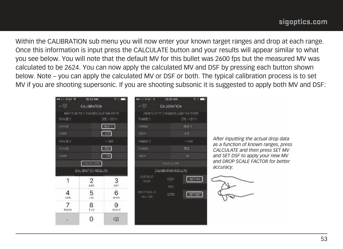Within the CALIBRATION sub menu you will now enter your known target ranges and drop at each range. Once this information is input press the CALCULATE button and your results will appear similar to what you see below. You will note that the default MV for this bullet was 2600 fps but the measured MV was calculated to be 2624. You can now apply the calculated MV and DSF by pressing each button shown below. Note – you can apply the calculated MV or DSF or both. The typical calibration process is to set MV if you are shooting supersonic. If you are shooting subsonic it is suggested to apply both MV and DSF:

| <b>PRACATAL ST</b> | 10:25 AM                          | $+2$ $-2$       | $-16.61$             | 10:25 AM                         |             |
|--------------------|-----------------------------------|-----------------|----------------------|----------------------------------|-------------|
| $-0.17$            | CALIBRATION                       |                 | $-011$               | CALIBRATION                      |             |
|                    | ENTER UP TO 2 BANGES AND THE DROP |                 |                      | ENTER UP TO 2 BANGES AND THE DRO |             |
| <b>RANGET</b>      |                                   | 376 - 424 Y     | <b>RANGE T</b>       |                                  | S7E - 424 Y |
| HANGE              |                                   | 400Y            | <b>RANGE</b>         |                                  | 400 Y       |
| <b>TROP</b>        |                                   | 3.0             | <b>SERDE</b>         |                                  | 30          |
| <b>RANGE 2</b>     |                                   | > 500           | <b>BANGE 2</b>       |                                  | > 859       |
| RANGE              |                                   | 700             | <b>TANGE</b>         |                                  | 700         |
| LHUP               |                                   | 733             | UROP                 |                                  | 70          |
|                    | <b>CALCILLATE</b>                 |                 |                      | <b>CALC: ILATE</b>               |             |
|                    | CALIBRATION RESULTS:              |                 |                      | <b>EALIBRATION RESULTS</b>       |             |
| 1                  | $\overline{2}$<br>ABC             | 3<br><b>DEF</b> | CURRENT<br>26/10     | 2924<br>FPS.                     | SET N       |
| 4<br>GHI           | 5<br>2KL                          | 6<br>ANNID.     | TRUP SDALE<br>FACTOR | 0.726                            | SETD        |
| 7<br>PORS          | 8<br>TUV                          | 9<br>WXYZ       |                      |                                  |             |
| ×                  |                                   | ✍               |                      |                                  |             |

*After inputting the actual drop data as a function of known ranges, press CALCULATE and then press SET MV and SET DSF to apply your new MV and DROP SCALE FACTOR for better accuracy.*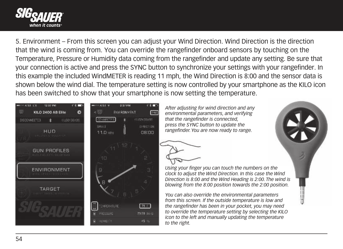

5. Environment – From this screen you can adjust your Wind Direction. Wind Direction is the direction that the wind is coming from. You can override the rangefinder onboard sensors by touching on the Temperature, Pressure or Humidity data coming from the rangefinder and update any setting. Be sure that your connection is active and press the SYNC button to synchronize your settings with your rangefinder. In this example the included WindMETER is reading 11 mph, the Wind Direction is 8:00 and the sensor data is shown below the wind dial. The temperature setting is now controlled by your smartphone as the KILO icon has been switched to show that your smartphone is now setting the temperature.



*that the rangefinder is connected, press the SYNC button to update the rangefinder. You are now ready to range.*



*Using your finger you can touch the numbers on the clock to adjust the Wind Direction. In this case the Wind Direction is 8:00 and the Wind Heading is 2:00. The wind is blowing from the 8:00 position towards the 2:00 position.*

*You can also override the environmental parameters from this screen. If the outside temperature is low and the rangefinder has been in your pocket, you may need to override the temperature setting by selecting the KILO icon to the left and manually updating the temperature to the right.*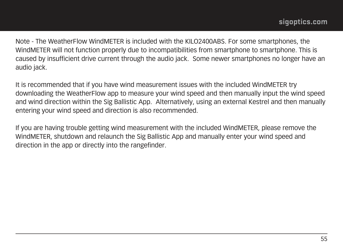Note - The WeatherFlow WindMETER is included with the KILO2400ABS. For some smartphones, the WindMETER will not function properly due to incompatibilities from smartphone to smartphone. This is caused by insufficient drive current through the audio jack. Some newer smartphones no longer have an audio jack.

It is recommended that if you have wind measurement issues with the included WindMETER try downloading the WeatherFlow app to measure your wind speed and then manually input the wind speed and wind direction within the Sig Ballistic App. Alternatively, using an external Kestrel and then manually entering your wind speed and direction is also recommended.

If you are having trouble getting wind measurement with the included WindMETER, please remove the WindMETER, shutdown and relaunch the Sig Ballistic App and manually enter your wind speed and direction in the app or directly into the rangefinder.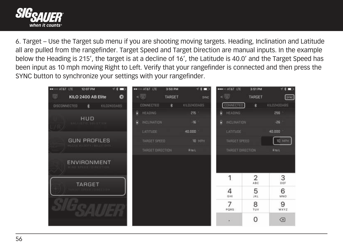

6. Target – Use the Target sub menu if you are shooting moving targets. Heading, Inclination and Latitude all are pulled from the rangefinder. Target Speed and Target Direction are manual inputs. In the example below the Heading is 215', the target is at a decline of 16', the Latitude is 40.0' and the Target Speed has been input as 10 mph moving Right to Left. Verify that your rangefinder is connected and then press the SYNC button to synchronize your settings with your rangefinder.

| <b>COOP AT&amp;T LITE</b> | 12:07 PM                                          | $-28 - 0$   |   | <b>STI TATA OCH</b> | 3:50 PM       |             | $7.8$ $\Box$  |    | <b>BEACO AT&amp;T LITE</b> | 3:51 PM               |             | $7.3 - 10$       |
|---------------------------|---------------------------------------------------|-------------|---|---------------------|---------------|-------------|---------------|----|----------------------------|-----------------------|-------------|------------------|
| <b>ED</b>                 | KILO 2400 AB Elite                                | ۰           |   | < 050               | <b>TARGET</b> |             | SYNC          |    | $<$ dig                    | TARGET                |             | SYNC <sup></sup> |
| DISCONNECTED              | $\mathbf{x}$                                      | KILO2400ABS |   | CONNECTED           | ×             | KILD2400ABS |               |    | CONNECTED                  | 凄                     | KILD2400ABS |                  |
|                           | HUD                                               |             |   | <b>HEADING</b>      |               | 215         |               | Ñ. | HEADING                    |                       | 256         |                  |
|                           | <b>REVENUE MILITOR</b>                            |             | н | <b>INCLINATION</b>  |               | $-15$       |               |    | INCLINATION                |                       | $-26$       |                  |
|                           |                                                   |             |   | <b>LATITUDE</b>     |               | 40.000      |               |    | LATITUDE                   |                       | 40.000      |                  |
|                           | <b>GUN PROFILES</b><br>In Fire attacky Incar data |             |   | TARGET SPEED        |               |             | <b>38 MPH</b> |    | TARGET SPEED               |                       |             | 10 MPH           |
|                           |                                                   |             |   | TARGET DIRECTION    |               | Rint        |               |    | TARGET DIRECTION           |                       | RtoL        |                  |
|                           | <b>ENVIRONMENT</b><br>WIND SPEED FOINESTION       |             |   |                     |               |             |               |    |                            |                       |             |                  |
|                           | <b>TARGET</b>                                     |             |   |                     |               |             |               |    | 1                          | $\overline{2}$<br>ABC |             | 3<br>DEF         |
|                           |                                                   |             |   |                     |               |             |               |    | 4<br>GHI                   | 5<br><b>JKC</b>       |             | 6<br>MNO         |
|                           |                                                   |             |   |                     |               |             |               |    | 7<br><b>PORS</b>           | 8<br>TUV              |             | 9<br><b>WXYZ</b> |
|                           |                                                   |             |   |                     |               |             |               |    |                            | 0                     |             | ⊗                |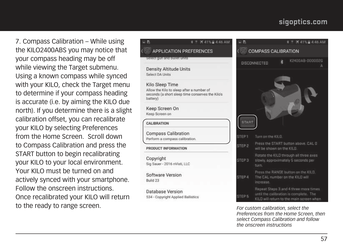## **sigoptics.com**

7. Compass Calibration – While using the KILO2400ABS you may notice that your compass heading may be off while viewing the Target submenu. Using a known compass while synced with your KILO, check the Target menu to determine if your compass heading is accurate (i.e. by aiming the KILO due north). If you determine there is a slight calibration offset, you can recalibrate your KILO by selecting Preferences from the Home Screen. Scroll down to Compass Calibration and press the START button to begin recalibrating your KILO to your local environment. Your KILO must be turned on and actively synced with your smartphone. Follow the onscreen instructions. Once recalibrated your KILO will return to the ready to range screen. *For custom calibration, select the* 

 $=$   $\overline{m}$ 

Select DA Units

Keep Screen on

CALIBRATION

Copyright

Build 23

battery)



*Preferences from the Home Screen, then select Compass Calibration and follow the onscreen instructions*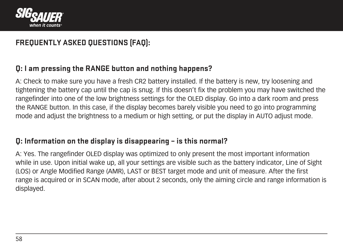

# **FREQUENTLY ASKED QUESTIONS (FAQ):**

#### **Q: I am pressing the RANGE button and nothing happens?**

A: Check to make sure you have a fresh CR2 battery installed. If the battery is new, try loosening and tightening the battery cap until the cap is snug. If this doesn't fix the problem you may have switched the rangefinder into one of the low brightness settings for the OLED display. Go into a dark room and press the RANGE button. In this case, if the display becomes barely visible you need to go into programming mode and adjust the brightness to a medium or high setting, or put the display in AUTO adjust mode.

## **Q: Information on the display is disappearing – is this normal?**

A: Yes. The rangefinder OLED display was optimized to only present the most important information while in use. Upon initial wake up, all your settings are visible such as the battery indicator, Line of Sight (LOS) or Angle Modified Range (AMR), LAST or BEST target mode and unit of measure. After the first range is acquired or in SCAN mode, after about 2 seconds, only the aiming circle and range information is displayed.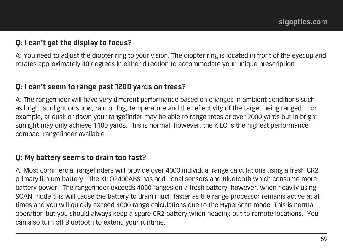## **Q: I can't get the display to focus?**

A: You need to adjust the diopter ring to your vision. The diopter ring is located in front of the eyecup and rotates approximately 40 degrees in either direction to accommodate your unique prescription.

## **Q: I can't seem to range past 1200 yards on trees?**

A: The rangefinder will have very different performance based on changes in ambient conditions such as bright sunlight or snow, rain or fog, temperature and the reflectivity of the target being ranged. For example, at dusk or dawn your rangefinder may be able to range trees at over 2000 yards but in bright sunlight may only achieve 1100 yards. This is normal, however, the KILO is the highest performance compact rangefinder available.

## **Q: My battery seems to drain too fast?**

A: Most commercial rangefinders will provide over 4000 individual range calculations using a fresh CR2 primary lithium battery. The KILO2400ABS has additional sensors and Bluetooth which consume more battery power. The rangefinder exceeds 4000 ranges on a fresh battery, however, when heavily using SCAN mode this will cause the battery to drain much faster as the range processor remains active at all times and you will quickly exceed 4000 range calculations due to the HyperScan mode. This is normal operation but you should always keep a spare CR2 battery when heading out to remote locations. You can also turn off Bluetooth to extend your runtime.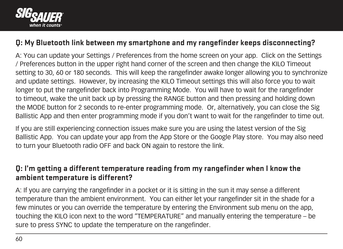

## **Q: My Bluetooth link between my smartphone and my rangefinder keeps disconnecting?**

A: You can update your Settings / Preferences from the home screen on your app. Click on the Settings / Preferences button in the upper right hand corner of the screen and then change the KILO Timeout setting to 30, 60 or 180 seconds. This will keep the rangefinder awake longer allowing you to synchronize and update settings. However, by increasing the KILO Timeout settings this will also force you to wait longer to put the rangefinder back into Programming Mode. You will have to wait for the rangefinder to timeout, wake the unit back up by pressing the RANGE button and then pressing and holding down the MODE button for 2 seconds to re-enter programming mode. Or, alternatively, you can close the Sig Ballistic App and then enter programming mode if you don't want to wait for the rangefinder to time out.

If you are still experiencing connection issues make sure you are using the latest version of the Sig Ballistic App. You can update your app from the App Store or the Google Play store. You may also need to turn your Bluetooth radio OFF and back ON again to restore the link.

## **Q: I'm getting a different temperature reading from my rangefinder when I know the ambient temperature is different?**

A: If you are carrying the rangefinder in a pocket or it is sitting in the sun it may sense a different temperature than the ambient environment. You can either let your rangefinder sit in the shade for a few minutes or you can override the temperature by entering the Environment sub menu on the app, touching the KILO icon next to the word "TEMPERATURE" and manually entering the temperature – be sure to press SYNC to update the temperature on the rangefinder.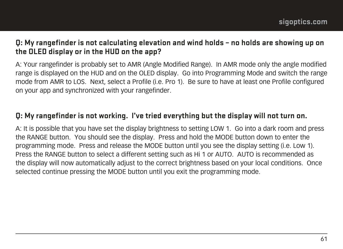## **Q: My rangefinder is not calculating elevation and wind holds – no holds are showing up on the OLED display or in the HUD on the app?**

A: Your rangefinder is probably set to AMR (Angle Modified Range). In AMR mode only the angle modified range is displayed on the HUD and on the OLED display. Go into Programming Mode and switch the range mode from AMR to LOS. Next, select a Profile (i.e. Pro 1). Be sure to have at least one Profile configured on your app and synchronized with your rangefinder.

#### **Q: My rangefinder is not working. I've tried everything but the display will not turn on.**

A: It is possible that you have set the display brightness to setting LOW 1. Go into a dark room and press the RANGE button. You should see the display. Press and hold the MODE button down to enter the programming mode. Press and release the MODE button until you see the display setting (i.e. Low 1). Press the RANGE button to select a different setting such as Hi 1 or AUTO. AUTO is recommended as the display will now automatically adjust to the correct brightness based on your local conditions. Once selected continue pressing the MODE button until you exit the programming mode.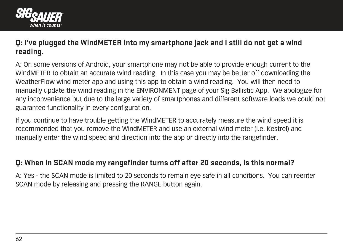

## **Q: I've plugged the WindMETER into my smartphone jack and I still do not get a wind reading.**

A: On some versions of Android, your smartphone may not be able to provide enough current to the WindMETER to obtain an accurate wind reading. In this case you may be better off downloading the WeatherFlow wind meter app and using this app to obtain a wind reading. You will then need to manually update the wind reading in the ENVIRONMENT page of your Sig Ballistic App. We apologize for any inconvenience but due to the large variety of smartphones and different software loads we could not guarantee functionality in every configuration.

If you continue to have trouble getting the WindMETER to accurately measure the wind speed it is recommended that you remove the WindMETER and use an external wind meter (i.e. Kestrel) and manually enter the wind speed and direction into the app or directly into the rangefinder.

## **Q: When in SCAN mode my rangefinder turns off after 20 seconds, is this normal?**

A: Yes - the SCAN mode is limited to 20 seconds to remain eye safe in all conditions. You can reenter SCAN mode by releasing and pressing the RANGE button again.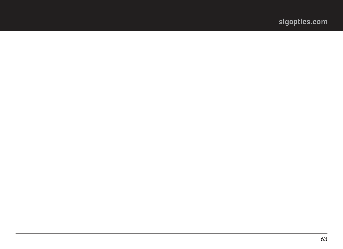**sigoptics.com**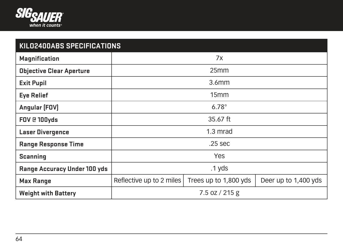

| KIL02400ABS SPECIFICATIONS      |                          |                       |                      |  |  |  |  |
|---------------------------------|--------------------------|-----------------------|----------------------|--|--|--|--|
| Magnification                   | 7x                       |                       |                      |  |  |  |  |
| <b>Objective Clear Aperture</b> |                          | 25mm                  |                      |  |  |  |  |
| <b>Exit Pupil</b>               |                          | 3.6 <sub>mm</sub>     |                      |  |  |  |  |
| <b>Eye Relief</b>               |                          | 15 <sub>mm</sub>      |                      |  |  |  |  |
| Angular (FDV)                   | $6.78^\circ$             |                       |                      |  |  |  |  |
| <b>FOV @100yds</b>              | $35.67$ ft               |                       |                      |  |  |  |  |
| Laser Divergence                | $1.3 \text{ mrad}$       |                       |                      |  |  |  |  |
| <b>Range Response Time</b>      | .25 <sub>sec</sub>       |                       |                      |  |  |  |  |
| Scanning                        | Yes                      |                       |                      |  |  |  |  |
| Range Accuracy Under 100 yds    | $.1$ yds                 |                       |                      |  |  |  |  |
| Max Range                       | Reflective up to 2 miles | Trees up to 1,800 yds | Deer up to 1,400 yds |  |  |  |  |
| <b>Weight with Battery</b>      | 7.5 oz / 215 g           |                       |                      |  |  |  |  |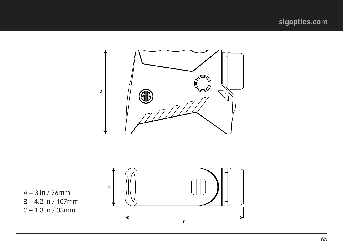

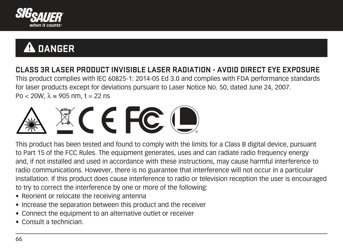

# **A** DANGER

## **CLASS 3R LASER PRODUCT INVISIBLE LASER RADIATION - AVOID DIRECT EYE EXPOSURE**

This product complies with IEC 60825-1: 2014-05 Ed 3.0 and complies with FDA performance standards for laser products except for deviations pursuant to Laser Notice No. 50, dated June 24, 2007.

 $Po < 20W$ ,  $λ = 905$  nm,  $t = 22$  ns



This product has been tested and found to comply with the limits for a Class B digital device, pursuant to Part 15 of the FCC Rules. The equipment generates, uses and can radiate radio frequency energy and, if not installed and used in accordance with these instructions, may cause harmful interference to radio communications. However, there is no guarantee that interference will not occur in a particular installation. If this product does cause interference to radio or television reception the user is encouraged to try to correct the interference by one or more of the following:

- Reorient or relocate the receiving antenna
- Increase the separation between this product and the receiver
- Connect the equipment to an alternative outlet or receiver
- Consult a technician.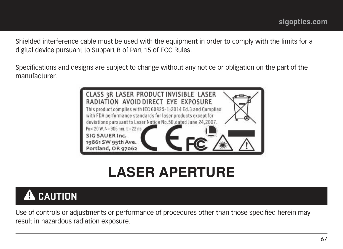Shielded interference cable must be used with the equipment in order to comply with the limits for a digital device pursuant to Subpart B of Part 15 of FCC Rules.

Specifications and designs are subject to change without any notice or obligation on the part of the manufacturer.



# **LASER APERTURE**

# **A** CAUTION

Use of controls or adjustments or performance of procedures other than those specified herein may result in hazardous radiation exposure.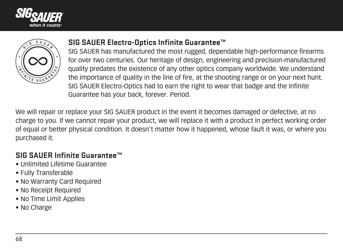



## **SIG SAUER Electro-Optics Infinite Guarantee™**

SIG SAUER has manufactured the most rugged, dependable high-performance firearms for over two centuries. Our heritage of design, engineering and precision-manufactured quality predates the existence of any other optics company worldwide. We understand the importance of quality in the line of fire, at the shooting range or on your next hunt. SIG SAUER Electro-Optics had to earn the right to wear that badge and the Infinite Guarantee has your back, forever. Period.

We will repair or replace your SIG SAUER product in the event it becomes damaged or defective, at no charge to you. If we cannot repair your product, we will replace it with a product in perfect working order of equal or better physical condition. It doesn't matter how it happened, whose fault it was, or where you purchased it.

## **SIG SAUER Infinite Guarantee™**

- Unlimited Lifetime Guarantee
- Fully Transferable
- No Warranty Card Required
- No Receipt Required
- No Time Limit Applies
- No Charge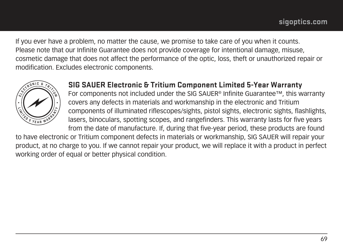If you ever have a problem, no matter the cause, we promise to take care of you when it counts. Please note that our Infinite Guarantee does not provide coverage for intentional damage, misuse, cosmetic damage that does not affect the performance of the optic, loss, theft or unauthorized repair or modification. Excludes electronic components.



### **SIG SAUER Electronic & Tritium Component Limited 5-Year Warranty**

For components not included under the SIG SAUER® Infinite Guarantee™, this warranty covers any defects in materials and workmanship in the electronic and Tritium components of illuminated riflescopes/sights, pistol sights, electronic sights, flashlights, lasers, binoculars, spotting scopes, and rangefinders. This warranty lasts for five years from the date of manufacture. If, during that five-year period, these products are found

to have electronic or Tritium component defects in materials or workmanship, SIG SAUER will repair your product, at no charge to you. If we cannot repair your product, we will replace it with a product in perfect working order of equal or better physical condition.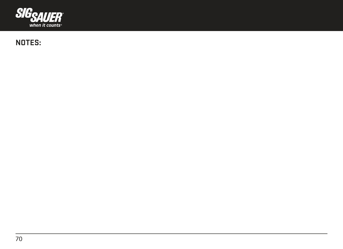

## **NOTES:**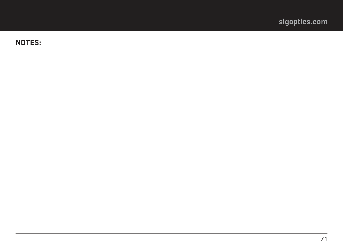**NOTES:**